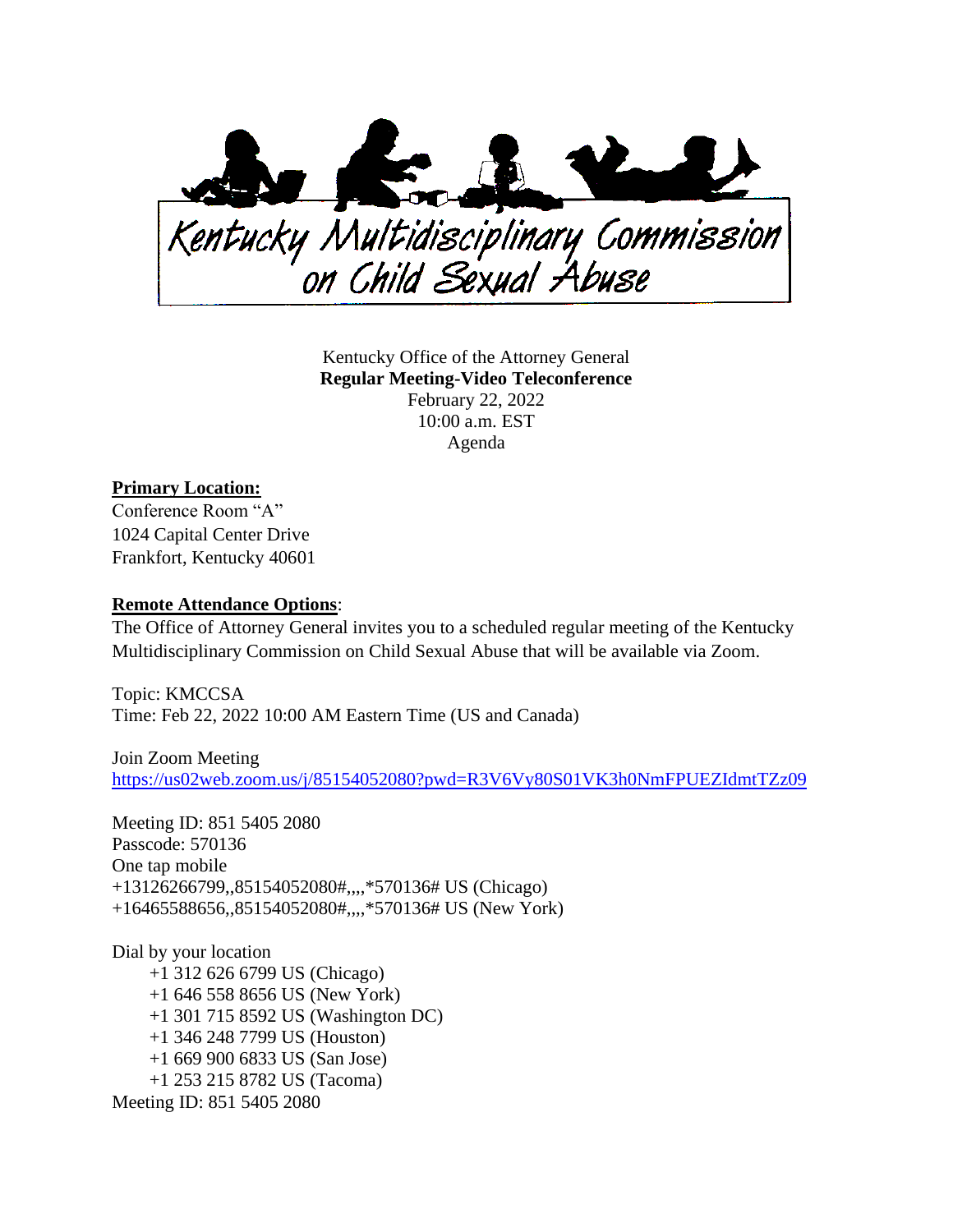

Kentucky Office of the Attorney General **Regular Meeting-Video Teleconference** February 22, 2022 10:00 a.m. EST Agenda

## **Primary Location:**

Conference Room "A" 1024 Capital Center Drive Frankfort, Kentucky 40601

## **Remote Attendance Options**:

The Office of Attorney General invites you to a scheduled regular meeting of the Kentucky Multidisciplinary Commission on Child Sexual Abuse that will be available via Zoom.

Topic: KMCCSA Time: Feb 22, 2022 10:00 AM Eastern Time (US and Canada)

Join Zoom Meeting [https://us02web.zoom.us/j/85154052080?pwd=R3V6Vy80S01VK3h0NmFPUEZIdmtTZz09](https://urldefense.com/v3/__https:/us02web.zoom.us/j/85154052080?pwd=R3V6Vy80S01VK3h0NmFPUEZIdmtTZz09__;!!Db6frn15oIvDD3UI!zbJ4wzFbw2ufKeYnZrhnoSriEv2pUnMrLl2rDTKq6QRotnqFyweAf1j-Smu2XhJj_EYM$)

Meeting ID: 851 5405 2080 Passcode: 570136 One tap mobile +13126266799,,85154052080#,,,,\*570136# US (Chicago) +16465588656,,85154052080#,,,,\*570136# US (New York)

Dial by your location +1 312 626 6799 US (Chicago) +1 646 558 8656 US (New York) +1 301 715 8592 US (Washington DC) +1 346 248 7799 US (Houston) +1 669 900 6833 US (San Jose) +1 253 215 8782 US (Tacoma) Meeting ID: 851 5405 2080